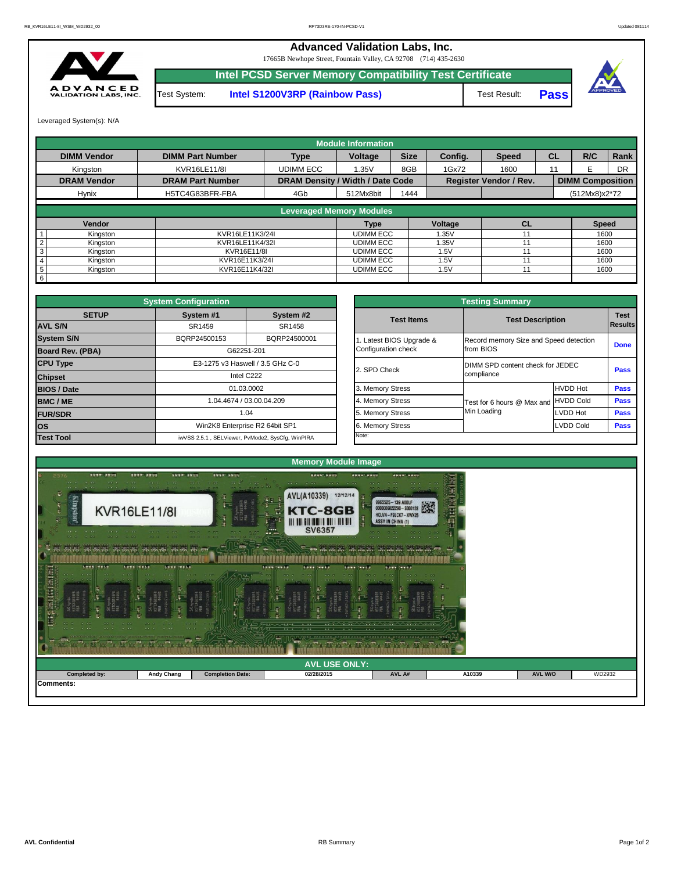## **Advanced Validation Labs, Inc.**

17665B Newhope Street, Fountain Valley, CA 92708 (714) 435-2630



**Intel PCSD Server Memory Compatibility Test Certificate**

Test System: **Intel S1200V3RP (Rainbow Pass)** Test Result: **Pass** 



Leveraged System(s): N/A

|                    |                         |                                         | <b>Module Information</b>       |             |         |                               |           |                         |      |  |  |
|--------------------|-------------------------|-----------------------------------------|---------------------------------|-------------|---------|-------------------------------|-----------|-------------------------|------|--|--|
| <b>DIMM Vendor</b> | <b>DIMM Part Number</b> | <b>Type</b><br>Voltage                  |                                 | <b>Size</b> | Config. | <b>Speed</b>                  | <b>CL</b> | R/C                     | Rank |  |  |
| Kingston           | <b>KVR16LE11/8I</b>     | <b>UDIMM ECC</b>                        | 1.35V                           | 8GB         | 1Gx72   | 1600                          | 11        |                         | DR   |  |  |
| <b>DRAM Vendor</b> | <b>DRAM Part Number</b> | <b>DRAM Density / Width / Date Code</b> |                                 |             |         | <b>Register Vendor / Rev.</b> |           | <b>DIMM Composition</b> |      |  |  |
| <b>Hynix</b>       | H5TC4G83BFR-FBA         | 4Gb                                     | 512Mx8bit                       | 1444        |         |                               |           | $(512Mx8)x2*72$         |      |  |  |
|                    |                         |                                         |                                 |             |         |                               |           |                         |      |  |  |
|                    |                         |                                         | <b>Leveraged Memory Modules</b> |             |         |                               |           |                         |      |  |  |
| Vendor             |                         |                                         | Type                            |             | Voltage | CL                            |           | <b>Speed</b>            |      |  |  |
| Kingston           | KVR16LE11K3/24I         |                                         | <b>UDIMM ECC</b>                |             | 1.35V   |                               |           | 1600                    |      |  |  |
| Kingston<br>2      | KVR16LE11K4/32I         |                                         | <b>UDIMM ECC</b>                |             | 1.35V   |                               |           | 1600                    |      |  |  |
| 3<br>Kingston      | KVR16E11/8I             |                                         | <b>UDIMM ECC</b>                |             | 1.5V    |                               |           | 1600                    |      |  |  |
| Kingston           | KVR16E11K3/24I          |                                         | <b>UDIMM ECC</b>                |             | 1.5V    |                               |           | 1600                    |      |  |  |
| 5<br>Kingston      | KVR16E11K4/32I          |                                         | <b>UDIMM ECC</b>                |             | 1.5V    |                               |           | 1600                    |      |  |  |
| $6\phantom{.}6$    |                         |                                         |                                 |             |         |                               |           |                         |      |  |  |

|              | <b>System Configuration</b> |                                                  |                       | <b>Testing Summary</b>                 |                  |                |
|--------------|-----------------------------|--------------------------------------------------|-----------------------|----------------------------------------|------------------|----------------|
| <b>SETUP</b> | System #1                   | System #2                                        | <b>Test Items</b>     | <b>Test Description</b>                |                  |                |
|              | SR1459                      | SR1458                                           |                       |                                        |                  | <b>Results</b> |
|              | BQRP24500153                | BQRP24500001                                     | Latest BIOS Upgrade & | Record memory Size and Speed detection |                  |                |
| PBA)         |                             | G62251-201                                       | Configuration check   | from BIOS                              |                  |                |
|              |                             | E3-1275 v3 Haswell / 3.5 GHz C-0                 |                       | DIMM SPD content check for JEDEC       |                  |                |
|              |                             | Intel C222                                       | 2. SPD Check          | compliance                             |                  |                |
|              |                             | 01.03.0002                                       | 3. Memory Stress      |                                        | <b>HVDD Hot</b>  |                |
|              |                             | 1.04.4674 / 03.00.04.209                         | 4. Memory Stress      | Test for 6 hours @ Max and             | <b>HVDD Cold</b> |                |
|              |                             | 1.04                                             | 5. Memory Stress      | Min Loading                            | <b>ILVDD Hot</b> |                |
|              |                             | Win2K8 Enterprise R2 64bit SP1                   | 6. Memory Stress      |                                        | LVDD Cold        |                |
|              |                             | iwVSS 2.5.1, SELViewer, PvMode2, SysCfg, WinPIRA | Note:                 |                                        |                  |                |

|                         | <b>System Configuration</b> |                                                  |  |                       | <b>Testing Summary</b>                 |                                  |             |  |  |
|-------------------------|-----------------------------|--------------------------------------------------|--|-----------------------|----------------------------------------|----------------------------------|-------------|--|--|
| <b>SETUP</b>            | System #1                   | System #2                                        |  | <b>Test Items</b>     |                                        |                                  | <b>Test</b> |  |  |
| <b>AVL S/N</b>          | SR1459<br>SR1458            |                                                  |  |                       |                                        | <b>Test Description</b>          |             |  |  |
| <b>System S/N</b>       | BQRP24500153                | BQRP24500001                                     |  | Latest BIOS Upgrade & | Record memory Size and Speed detection |                                  | <b>Done</b> |  |  |
| <b>Board Rev. (PBA)</b> |                             | G62251-201                                       |  | Configuration check   | from BIOS                              |                                  |             |  |  |
| <b>CPU Type</b>         |                             | E3-1275 v3 Haswell / 3.5 GHz C-0                 |  | 2. SPD Check          |                                        | DIMM SPD content check for JEDEC |             |  |  |
| <b>Chipset</b>          |                             | Intel C222                                       |  |                       | compliance                             |                                  |             |  |  |
| <b>BIOS / Date</b>      |                             | 01.03.0002                                       |  | 3. Memory Stress      |                                        | <b>HVDD Hot</b>                  | <b>Pass</b> |  |  |
| <b>BMC/ME</b>           |                             | 1.04.4674 / 03.00.04.209                         |  | 4. Memory Stress      | Test for 6 hours @ Max and             | HVDD Cold                        | <b>Pass</b> |  |  |
| <b>FUR/SDR</b>          |                             | 1.04                                             |  | 5. Memory Stress      | Min Loading                            | <b>LVDD Hot</b>                  | <b>Pass</b> |  |  |
| <b>OS</b>               |                             | Win2K8 Enterprise R2 64bit SP1                   |  | 6. Memory Stress      |                                        | <b>LVDD Cold</b>                 | <b>Pass</b> |  |  |
| <b>Test Tool</b>        |                             | iwVSS 2.5.1, SELViewer, PvMode2, SysCfg, WinPIRA |  | Note:                 |                                        |                                  |             |  |  |

| <b>AVL USE ONLY:</b><br>WD2932<br><b>Andy Chang</b><br><b>Completion Date:</b><br>A10339<br>AVL W/O<br><b>Completed by:</b><br>02/28/2015<br>AVL A#<br><b>Comments:</b> | $\sim$ $\sim$ $\sim$<br>$-1$<br>$   -$<br>$-0.06$ $-0.06$ $-0.06$ $-0.06$ $-0.06$ $-0.06$ $-0.06$ $-0.06$ $-0.06$ $-0.06$ $-0.06$ $-0.06$ $-0.06$ $-0.06$ $-0.06$ $-0.06$ $-0.06$ $-0.06$ $-0.06$ $-0.06$ $-0.06$ $-0.06$ $-0.06$ $-0.06$ $-0.06$ $-0.06$ $-0.06$ $-0.0$<br>. THE REPORT OF THE PRINT OF THE REPORT OF THE REPORT OF THE REPORT OF THE REPORT OF THE REPORT OF THE REPORT OF THE REPORT OF THE REPORT OF THE REPORT OF THE REPORT OF THE REPORT OF THE REPORT OF THE REPORT OF THE REPORT<br>CONTROL OF CONTROL ON T | $-200$<br>$-1$<br>the contract of the contract of the contract of the contract of the contract of the contract of the contract of the contract of the contract of the contract of the contract of the contract of the contract of the contract o | $-2.1$<br><b>STATE</b> | The following the state of the state of the state of the state of the state of the state of<br>$\sqrt{2\pi\sqrt{2\pi}}\sqrt{2\pi}$ and $\sqrt{2\pi}$ are $\sqrt{2\pi}$ and $\sqrt{2\pi}$ and $\sqrt{2\pi}$ are $\sqrt{2\pi}$ and $\sqrt{2\pi}$ are $\sqrt{2\pi}$ |  |  |
|-------------------------------------------------------------------------------------------------------------------------------------------------------------------------|--------------------------------------------------------------------------------------------------------------------------------------------------------------------------------------------------------------------------------------------------------------------------------------------------------------------------------------------------------------------------------------------------------------------------------------------------------------------------------------------------------------------------------------|--------------------------------------------------------------------------------------------------------------------------------------------------------------------------------------------------------------------------------------------------|------------------------|------------------------------------------------------------------------------------------------------------------------------------------------------------------------------------------------------------------------------------------------------------------|--|--|
|                                                                                                                                                                         |                                                                                                                                                                                                                                                                                                                                                                                                                                                                                                                                      |                                                                                                                                                                                                                                                  |                        |                                                                                                                                                                                                                                                                  |  |  |
|                                                                                                                                                                         |                                                                                                                                                                                                                                                                                                                                                                                                                                                                                                                                      |                                                                                                                                                                                                                                                  |                        |                                                                                                                                                                                                                                                                  |  |  |
|                                                                                                                                                                         |                                                                                                                                                                                                                                                                                                                                                                                                                                                                                                                                      |                                                                                                                                                                                                                                                  |                        |                                                                                                                                                                                                                                                                  |  |  |